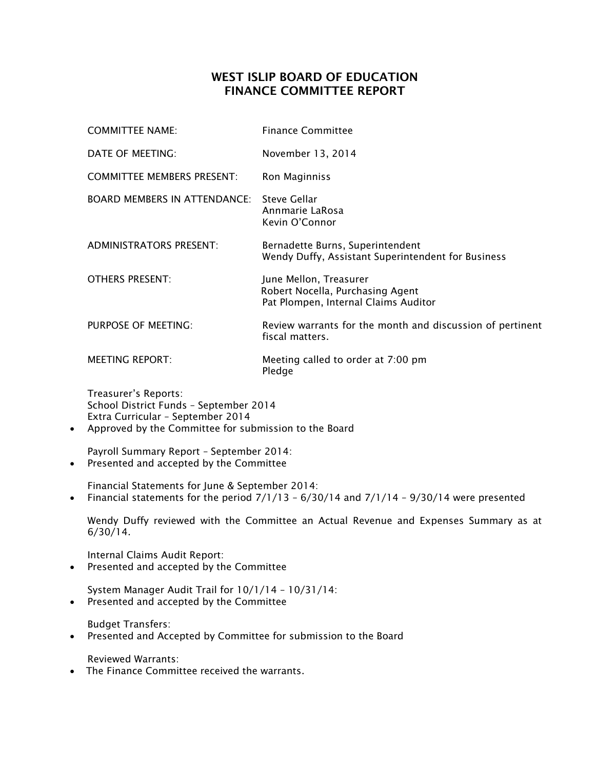## **WEST ISLIP BOARD OF EDUCATION FINANCE COMMITTEE REPORT**

| <b>COMMITTEE NAME:</b>              | <b>Finance Committee</b>                                                                           |
|-------------------------------------|----------------------------------------------------------------------------------------------------|
| DATE OF MEETING:                    | November 13, 2014                                                                                  |
| <b>COMMITTEE MEMBERS PRESENT:</b>   | Ron Maginniss                                                                                      |
| <b>BOARD MEMBERS IN ATTENDANCE:</b> | Steve Gellar<br>Annmarie LaRosa<br>Kevin O'Connor                                                  |
| <b>ADMINISTRATORS PRESENT:</b>      | Bernadette Burns, Superintendent<br>Wendy Duffy, Assistant Superintendent for Business             |
| <b>OTHERS PRESENT:</b>              | June Mellon, Treasurer<br>Robert Nocella, Purchasing Agent<br>Pat Plompen, Internal Claims Auditor |
| PURPOSE OF MEETING:                 | Review warrants for the month and discussion of pertinent<br>fiscal matters.                       |
| <b>MEETING REPORT:</b>              | Meeting called to order at 7:00 pm<br>Pledge                                                       |

Treasurer's Reports: School District Funds – September 2014 Extra Curricular – September 2014

Approved by the Committee for submission to the Board

Payroll Summary Report – September 2014:

Presented and accepted by the Committee

Financial Statements for June & September 2014: • Financial statements for the period  $7/1/13 - 6/30/14$  and  $7/1/14 - 9/30/14$  were presented

Wendy Duffy reviewed with the Committee an Actual Revenue and Expenses Summary as at 6/30/14.

Internal Claims Audit Report:

Presented and accepted by the Committee

System Manager Audit Trail for 10/1/14 – 10/31/14: Presented and accepted by the Committee

Budget Transfers:

Presented and Accepted by Committee for submission to the Board

Reviewed Warrants:

• The Finance Committee received the warrants.